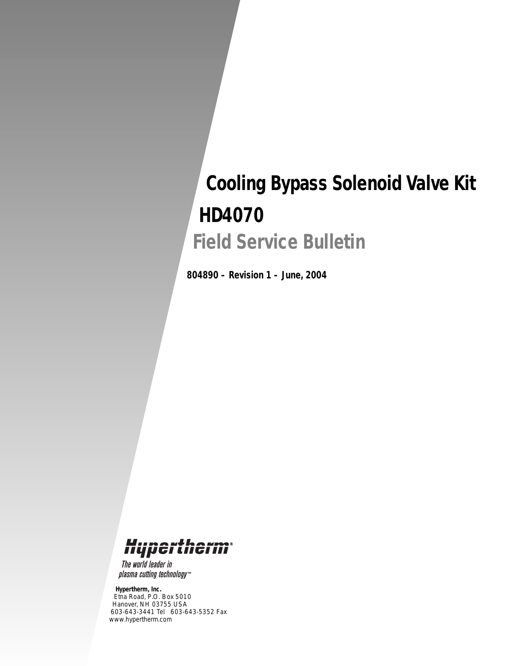# *Cooling Bypass Solenoid Valve Kit HD4070 Field Service Bulletin*

*804890 – Revision 1 – June, 2004*

## Hypertherm

The world leader in plasma cutting technology<sup>\*\*</sup>

#### *Hypertherm, Inc.*

*Etna Road, P.O. Box 5010 Hanover, NH 03755 USA 603-643-3441 Tel 603-643-5352 Fax www.hypertherm.com*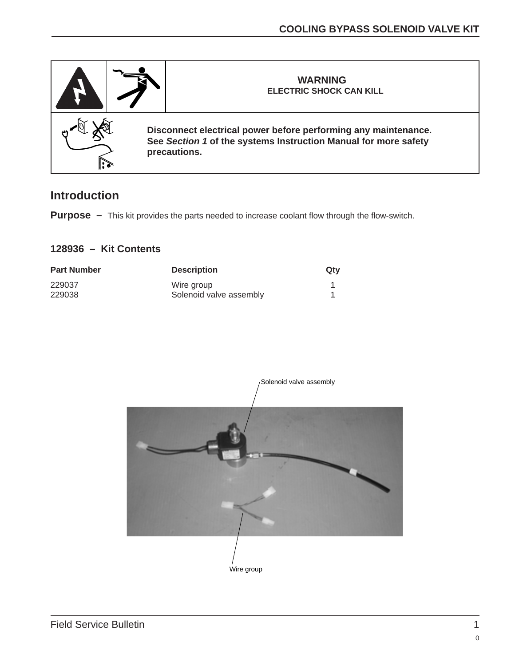

### **Introduction**

**Purpose –** This kit provides the parts needed to increase coolant flow through the flow-switch.

#### **128936 – Kit Contents**

| <b>Part Number</b> | <b>Description</b>      | Qty |
|--------------------|-------------------------|-----|
| 229037             | Wire group              |     |
| 229038             | Solenoid valve assembly |     |

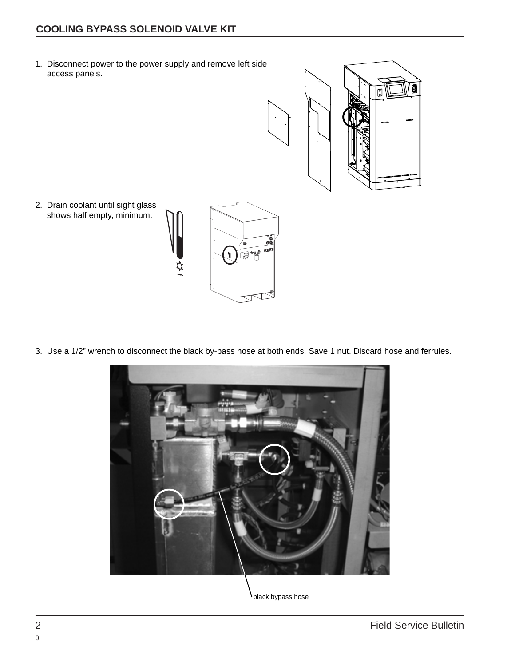### **COOLING BYPASS SOLENOID VALVE KIT**

1. Disconnect power to the power supply and remove left side access panels.



2. Drain coolant until sight glass shows half empty, minimum.



3. Use a 1/2" wrench to disconnect the black by-pass hose at both ends. Save 1 nut. Discard hose and ferrules.



black bypass hose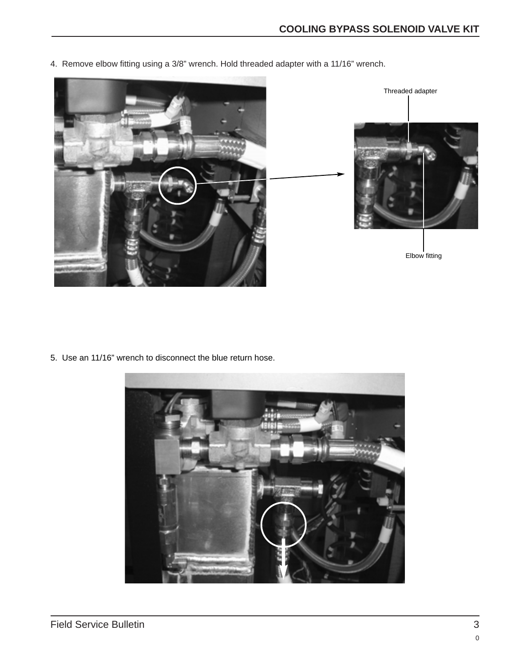- Threaded adapter Elbow fitting
- 4. Remove elbow fitting using a 3/8" wrench. Hold threaded adapter with a 11/16" wrench.

5. Use an 11/16" wrench to disconnect the blue return hose.

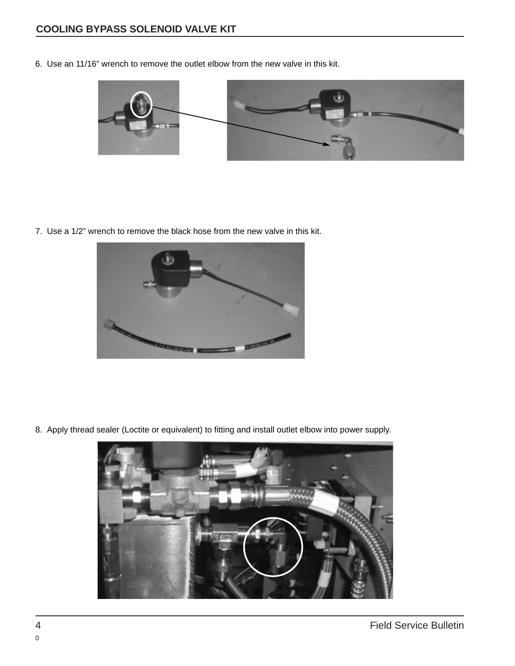6. Use an 11/16" wrench to remove the outlet elbow from the new valve in this kit.



7. Use a 1/2" wrench to remove the black hose from the new valve in this kit.



8. Apply thread sealer (Loctite or equivalent) to fitting and install outlet elbow into power supply.

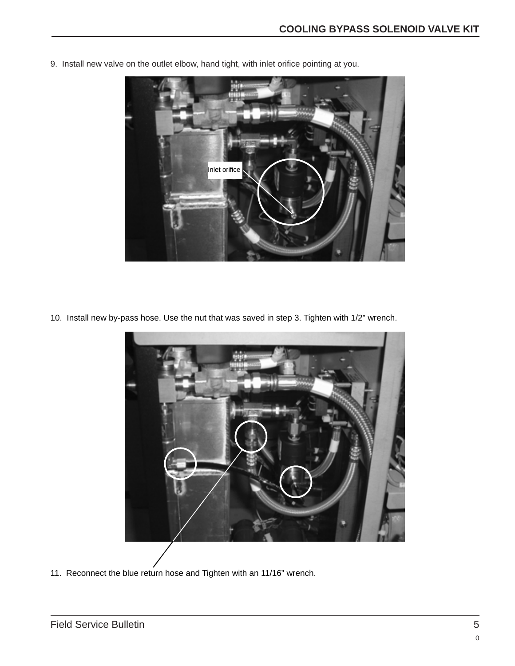

9. Install new valve on the outlet elbow, hand tight, with inlet orifice pointing at you.

10. Install new by-pass hose. Use the nut that was saved in step 3. Tighten with 1/2" wrench.



11. Reconnect the blue return hose and Tighten with an 11/16" wrench.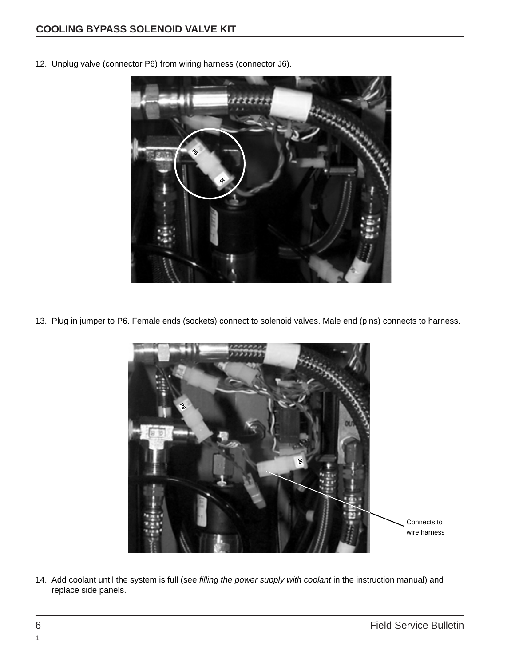

12. Unplug valve (connector P6) from wiring harness (connector J6).

13. Plug in jumper to P6. Female ends (sockets) connect to solenoid valves. Male end (pins) connects to harness.



14. Add coolant until the system is full (see filling the power supply with coolant in the instruction manual) and replace side panels.